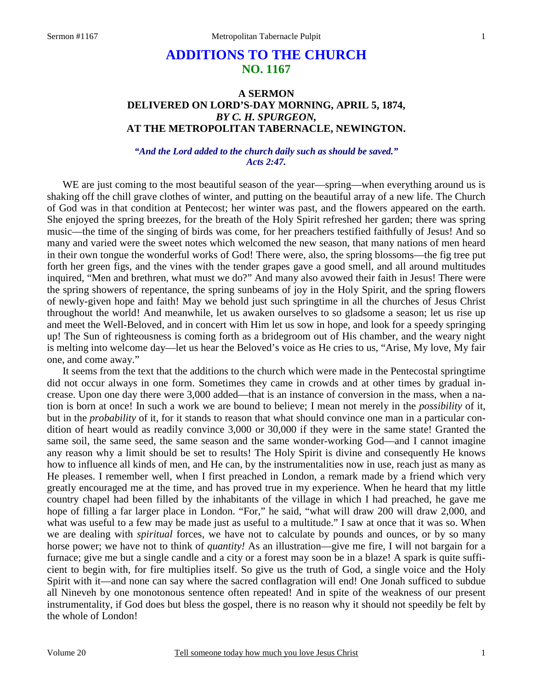# **ADDITIONS TO THE CHURCH NO. 1167**

# **A SERMON DELIVERED ON LORD'S-DAY MORNING, APRIL 5, 1874,**  *BY C. H. SPURGEON,*  **AT THE METROPOLITAN TABERNACLE, NEWINGTON.**

### *"And the Lord added to the church daily such as should be saved." Acts 2:47.*

WE are just coming to the most beautiful season of the year—spring—when everything around us is shaking off the chill grave clothes of winter, and putting on the beautiful array of a new life. The Church of God was in that condition at Pentecost; her winter was past, and the flowers appeared on the earth. She enjoyed the spring breezes, for the breath of the Holy Spirit refreshed her garden; there was spring music—the time of the singing of birds was come, for her preachers testified faithfully of Jesus! And so many and varied were the sweet notes which welcomed the new season, that many nations of men heard in their own tongue the wonderful works of God! There were, also, the spring blossoms—the fig tree put forth her green figs, and the vines with the tender grapes gave a good smell, and all around multitudes inquired, "Men and brethren, what must we do?" And many also avowed their faith in Jesus! There were the spring showers of repentance, the spring sunbeams of joy in the Holy Spirit, and the spring flowers of newly-given hope and faith! May we behold just such springtime in all the churches of Jesus Christ throughout the world! And meanwhile, let us awaken ourselves to so gladsome a season; let us rise up and meet the Well-Beloved, and in concert with Him let us sow in hope, and look for a speedy springing up! The Sun of righteousness is coming forth as a bridegroom out of His chamber, and the weary night is melting into welcome day—let us hear the Beloved's voice as He cries to us, "Arise, My love, My fair one, and come away."

It seems from the text that the additions to the church which were made in the Pentecostal springtime did not occur always in one form. Sometimes they came in crowds and at other times by gradual increase. Upon one day there were 3,000 added—that is an instance of conversion in the mass, when a nation is born at once! In such a work we are bound to believe; I mean not merely in the *possibility* of it, but in the *probability* of it, for it stands to reason that what should convince one man in a particular condition of heart would as readily convince 3,000 or 30,000 if they were in the same state! Granted the same soil, the same seed, the same season and the same wonder-working God—and I cannot imagine any reason why a limit should be set to results! The Holy Spirit is divine and consequently He knows how to influence all kinds of men, and He can, by the instrumentalities now in use, reach just as many as He pleases. I remember well, when I first preached in London, a remark made by a friend which very greatly encouraged me at the time, and has proved true in my experience. When he heard that my little country chapel had been filled by the inhabitants of the village in which I had preached, he gave me hope of filling a far larger place in London. "For," he said, "what will draw 200 will draw 2,000, and what was useful to a few may be made just as useful to a multitude." I saw at once that it was so. When we are dealing with *spiritual* forces, we have not to calculate by pounds and ounces, or by so many horse power; we have not to think of *quantity!* As an illustration—give me fire, I will not bargain for a furnace; give me but a single candle and a city or a forest may soon be in a blaze! A spark is quite sufficient to begin with, for fire multiplies itself. So give us the truth of God, a single voice and the Holy Spirit with it—and none can say where the sacred conflagration will end! One Jonah sufficed to subdue all Nineveh by one monotonous sentence often repeated! And in spite of the weakness of our present instrumentality, if God does but bless the gospel, there is no reason why it should not speedily be felt by the whole of London!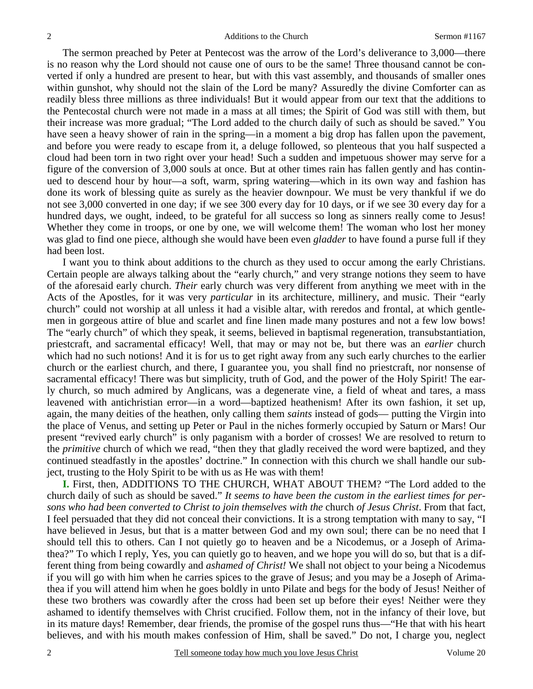The sermon preached by Peter at Pentecost was the arrow of the Lord's deliverance to 3,000—there is no reason why the Lord should not cause one of ours to be the same! Three thousand cannot be converted if only a hundred are present to hear, but with this vast assembly, and thousands of smaller ones within gunshot, why should not the slain of the Lord be many? Assuredly the divine Comforter can as readily bless three millions as three individuals! But it would appear from our text that the additions to the Pentecostal church were not made in a mass at all times; the Spirit of God was still with them, but their increase was more gradual; "The Lord added to the church daily of such as should be saved." You have seen a heavy shower of rain in the spring—in a moment a big drop has fallen upon the pavement, and before you were ready to escape from it, a deluge followed, so plenteous that you half suspected a cloud had been torn in two right over your head! Such a sudden and impetuous shower may serve for a figure of the conversion of 3,000 souls at once. But at other times rain has fallen gently and has continued to descend hour by hour—a soft, warm, spring watering—which in its own way and fashion has done its work of blessing quite as surely as the heavier downpour. We must be very thankful if we do not see 3,000 converted in one day; if we see 300 every day for 10 days, or if we see 30 every day for a hundred days, we ought, indeed, to be grateful for all success so long as sinners really come to Jesus! Whether they come in troops, or one by one, we will welcome them! The woman who lost her money was glad to find one piece, although she would have been even *gladder* to have found a purse full if they had been lost.

I want you to think about additions to the church as they used to occur among the early Christians. Certain people are always talking about the "early church," and very strange notions they seem to have of the aforesaid early church. *Their* early church was very different from anything we meet with in the Acts of the Apostles, for it was very *particular* in its architecture, millinery, and music. Their "early church" could not worship at all unless it had a visible altar, with reredos and frontal, at which gentlemen in gorgeous attire of blue and scarlet and fine linen made many postures and not a few low bows! The "early church" of which they speak, it seems, believed in baptismal regeneration, transubstantiation, priestcraft, and sacramental efficacy! Well, that may or may not be, but there was an *earlier* church which had no such notions! And it is for us to get right away from any such early churches to the earlier church or the earliest church, and there, I guarantee you, you shall find no priestcraft, nor nonsense of sacramental efficacy! There was but simplicity, truth of God, and the power of the Holy Spirit! The early church, so much admired by Anglicans, was a degenerate vine, a field of wheat and tares, a mass leavened with antichristian error—in a word—baptized heathenism! After its own fashion, it set up, again, the many deities of the heathen, only calling them *saints* instead of gods— putting the Virgin into the place of Venus, and setting up Peter or Paul in the niches formerly occupied by Saturn or Mars! Our present "revived early church" is only paganism with a border of crosses! We are resolved to return to the *primitive* church of which we read, "then they that gladly received the word were baptized, and they continued steadfastly in the apostles' doctrine." In connection with this church we shall handle our subject, trusting to the Holy Spirit to be with us as He was with them!

**I.** First, then, ADDITIONS TO THE CHURCH, WHAT ABOUT THEM? "The Lord added to the church daily of such as should be saved." *It seems to have been the custom in the earliest times for persons who had been converted to Christ to join themselves with the* church *of Jesus Christ*. From that fact, I feel persuaded that they did not conceal their convictions. It is a strong temptation with many to say, "I have believed in Jesus, but that is a matter between God and my own soul; there can be no need that I should tell this to others. Can I not quietly go to heaven and be a Nicodemus, or a Joseph of Arimathea?" To which I reply, Yes, you can quietly go to heaven, and we hope you will do so, but that is a different thing from being cowardly and *ashamed of Christ!* We shall not object to your being a Nicodemus if you will go with him when he carries spices to the grave of Jesus; and you may be a Joseph of Arimathea if you will attend him when he goes boldly in unto Pilate and begs for the body of Jesus! Neither of these two brothers was cowardly after the cross had been set up before their eyes! Neither were they ashamed to identify themselves with Christ crucified. Follow them, not in the infancy of their love, but in its mature days! Remember, dear friends, the promise of the gospel runs thus—"He that with his heart believes, and with his mouth makes confession of Him, shall be saved." Do not, I charge you, neglect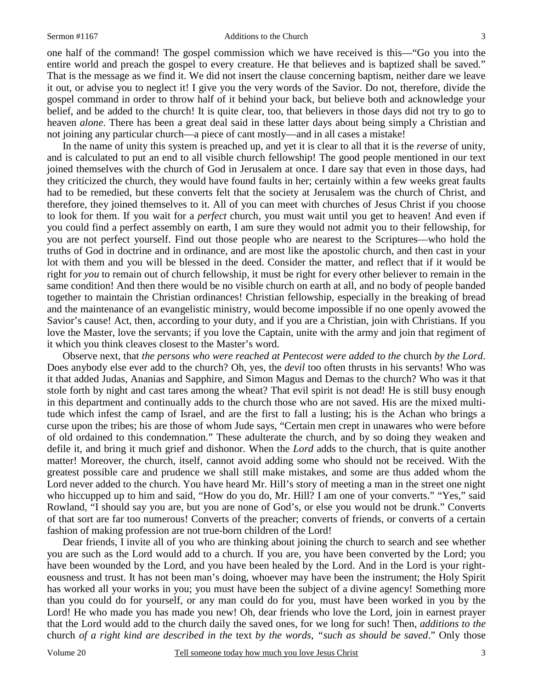#### Sermon #1167 Additions to the Church

one half of the command! The gospel commission which we have received is this—"Go you into the entire world and preach the gospel to every creature. He that believes and is baptized shall be saved." That is the message as we find it. We did not insert the clause concerning baptism, neither dare we leave it out, or advise you to neglect it! I give you the very words of the Savior. Do not, therefore, divide the gospel command in order to throw half of it behind your back, but believe both and acknowledge your belief, and be added to the church! It is quite clear, too, that believers in those days did not try to go to heaven *alone*. There has been a great deal said in these latter days about being simply a Christian and not joining any particular church—a piece of cant mostly—and in all cases a mistake!

In the name of unity this system is preached up, and yet it is clear to all that it is the *reverse* of unity, and is calculated to put an end to all visible church fellowship! The good people mentioned in our text joined themselves with the church of God in Jerusalem at once. I dare say that even in those days, had they criticized the church, they would have found faults in her; certainly within a few weeks great faults had to be remedied, but these converts felt that the society at Jerusalem was the church of Christ, and therefore, they joined themselves to it. All of you can meet with churches of Jesus Christ if you choose to look for them. If you wait for a *perfect* church, you must wait until you get to heaven! And even if you could find a perfect assembly on earth, I am sure they would not admit you to their fellowship, for you are not perfect yourself. Find out those people who are nearest to the Scriptures—who hold the truths of God in doctrine and in ordinance, and are most like the apostolic church, and then cast in your lot with them and you will be blessed in the deed. Consider the matter, and reflect that if it would be right for *you* to remain out of church fellowship, it must be right for every other believer to remain in the same condition! And then there would be no visible church on earth at all, and no body of people banded together to maintain the Christian ordinances! Christian fellowship, especially in the breaking of bread and the maintenance of an evangelistic ministry, would become impossible if no one openly avowed the Savior's cause! Act, then, according to your duty, and if you are a Christian, join with Christians. If you love the Master, love the servants; if you love the Captain, unite with the army and join that regiment of it which you think cleaves closest to the Master's word.

Observe next, that *the persons who were reached at Pentecost were added to the* church *by the Lord*. Does anybody else ever add to the church? Oh, yes, the *devil* too often thrusts in his servants! Who was it that added Judas, Ananias and Sapphire, and Simon Magus and Demas to the church? Who was it that stole forth by night and cast tares among the wheat? That evil spirit is not dead! He is still busy enough in this department and continually adds to the church those who are not saved. His are the mixed multitude which infest the camp of Israel, and are the first to fall a lusting; his is the Achan who brings a curse upon the tribes; his are those of whom Jude says, "Certain men crept in unawares who were before of old ordained to this condemnation." These adulterate the church, and by so doing they weaken and defile it, and bring it much grief and dishonor. When the *Lord* adds to the church, that is quite another matter! Moreover, the church, itself, cannot avoid adding some who should not be received. With the greatest possible care and prudence we shall still make mistakes, and some are thus added whom the Lord never added to the church. You have heard Mr. Hill's story of meeting a man in the street one night who hiccupped up to him and said, "How do you do, Mr. Hill? I am one of your converts." "Yes," said Rowland, "I should say you are, but you are none of God's, or else you would not be drunk." Converts of that sort are far too numerous! Converts of the preacher; converts of friends, or converts of a certain fashion of making profession are not true-born children of the Lord!

Dear friends, I invite all of you who are thinking about joining the church to search and see whether you are such as the Lord would add to a church. If you are, you have been converted by the Lord; you have been wounded by the Lord, and you have been healed by the Lord. And in the Lord is your righteousness and trust. It has not been man's doing, whoever may have been the instrument; the Holy Spirit has worked all your works in you; you must have been the subject of a divine agency! Something more than you could do for yourself, or any man could do for you, must have been worked in you by the Lord! He who made you has made you new! Oh, dear friends who love the Lord, join in earnest prayer that the Lord would add to the church daily the saved ones, for we long for such! Then, *additions to the*  church *of a right kind are described in the* text *by the words*, *"such as should be saved*." Only those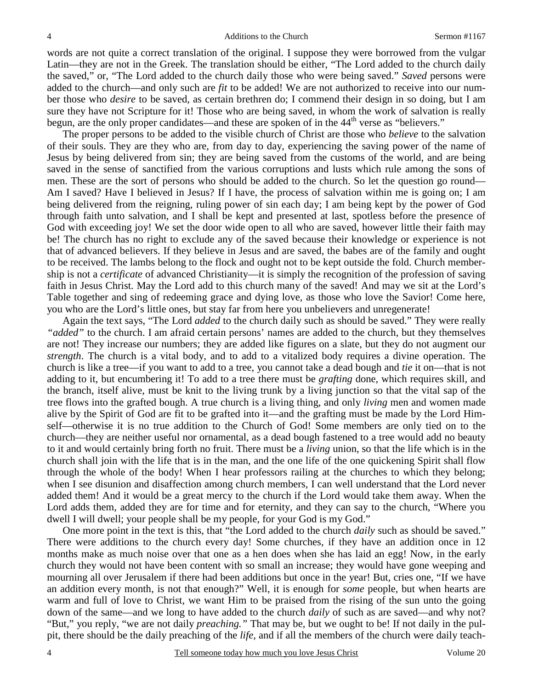words are not quite a correct translation of the original. I suppose they were borrowed from the vulgar Latin—they are not in the Greek. The translation should be either, "The Lord added to the church daily the saved," or, "The Lord added to the church daily those who were being saved." *Saved* persons were added to the church—and only such are *fit* to be added! We are not authorized to receive into our number those who *desire* to be saved, as certain brethren do; I commend their design in so doing, but I am sure they have not Scripture for it! Those who are being saved, in whom the work of salvation is really begun, are the only proper candidates—and these are spoken of in the  $44<sup>th</sup>$  verse as "believers."

The proper persons to be added to the visible church of Christ are those who *believe* to the salvation of their souls. They are they who are, from day to day, experiencing the saving power of the name of Jesus by being delivered from sin; they are being saved from the customs of the world, and are being saved in the sense of sanctified from the various corruptions and lusts which rule among the sons of men. These are the sort of persons who should be added to the church. So let the question go round— Am I saved? Have I believed in Jesus? If I have, the process of salvation within me is going on; I am being delivered from the reigning, ruling power of sin each day; I am being kept by the power of God through faith unto salvation, and I shall be kept and presented at last, spotless before the presence of God with exceeding joy! We set the door wide open to all who are saved, however little their faith may be! The church has no right to exclude any of the saved because their knowledge or experience is not that of advanced believers. If they believe in Jesus and are saved, the babes are of the family and ought to be received. The lambs belong to the flock and ought not to be kept outside the fold. Church membership is not a *certificate* of advanced Christianity—it is simply the recognition of the profession of saving faith in Jesus Christ. May the Lord add to this church many of the saved! And may we sit at the Lord's Table together and sing of redeeming grace and dying love, as those who love the Savior! Come here, you who are the Lord's little ones, but stay far from here you unbelievers and unregenerate!

Again the text says, "The Lord *added* to the church daily such as should be saved." They were really *"added"* to the church. I am afraid certain persons' names are added to the church, but they themselves are not! They increase our numbers; they are added like figures on a slate, but they do not augment our *strength*. The church is a vital body, and to add to a vitalized body requires a divine operation. The church is like a tree—if you want to add to a tree, you cannot take a dead bough and *tie* it on—that is not adding to it, but encumbering it! To add to a tree there must be *grafting* done, which requires skill, and the branch, itself alive, must be knit to the living trunk by a living junction so that the vital sap of the tree flows into the grafted bough. A true church is a living thing, and only *living* men and women made alive by the Spirit of God are fit to be grafted into it—and the grafting must be made by the Lord Himself—otherwise it is no true addition to the Church of God! Some members are only tied on to the church—they are neither useful nor ornamental, as a dead bough fastened to a tree would add no beauty to it and would certainly bring forth no fruit. There must be a *living* union, so that the life which is in the church shall join with the life that is in the man, and the one life of the one quickening Spirit shall flow through the whole of the body! When I hear professors railing at the churches to which they belong; when I see disunion and disaffection among church members, I can well understand that the Lord never added them! And it would be a great mercy to the church if the Lord would take them away. When the Lord adds them, added they are for time and for eternity, and they can say to the church, "Where you dwell I will dwell; your people shall be my people, for your God is my God."

One more point in the text is this, that "the Lord added to the church *daily* such as should be saved." There were additions to the church every day! Some churches, if they have an addition once in 12 months make as much noise over that one as a hen does when she has laid an egg! Now, in the early church they would not have been content with so small an increase; they would have gone weeping and mourning all over Jerusalem if there had been additions but once in the year! But, cries one, "If we have an addition every month, is not that enough?" Well, it is enough for *some* people, but when hearts are warm and full of love to Christ, we want Him to be praised from the rising of the sun unto the going down of the same—and we long to have added to the church *daily* of such as are saved—and why not? "But," you reply, "we are not daily *preaching."* That may be, but we ought to be! If not daily in the pulpit, there should be the daily preaching of the *life,* and if all the members of the church were daily teach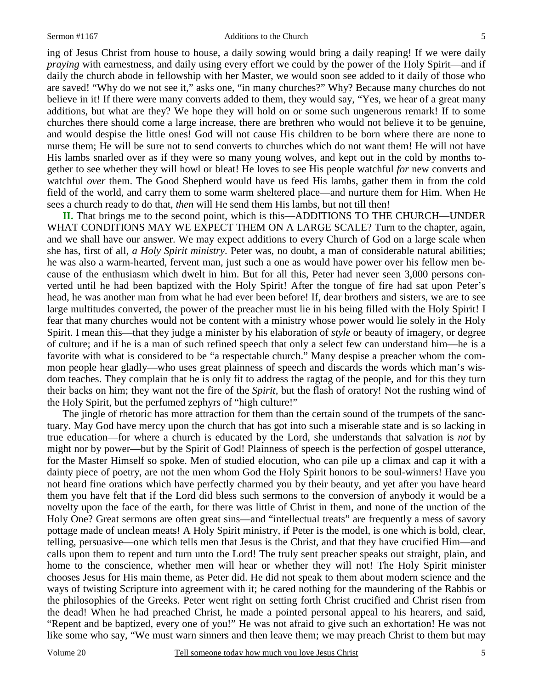ing of Jesus Christ from house to house, a daily sowing would bring a daily reaping! If we were daily *praying* with earnestness, and daily using every effort we could by the power of the Holy Spirit—and if daily the church abode in fellowship with her Master, we would soon see added to it daily of those who are saved! "Why do we not see it," asks one, "in many churches?" Why? Because many churches do not believe in it! If there were many converts added to them, they would say, "Yes, we hear of a great many additions, but what are they? We hope they will hold on or some such ungenerous remark! If to some churches there should come a large increase, there are brethren who would not believe it to be genuine, and would despise the little ones! God will not cause His children to be born where there are none to nurse them; He will be sure not to send converts to churches which do not want them! He will not have His lambs snarled over as if they were so many young wolves, and kept out in the cold by months together to see whether they will howl or bleat! He loves to see His people watchful *for* new converts and watchful *over* them. The Good Shepherd would have us feed His lambs, gather them in from the cold field of the world, and carry them to some warm sheltered place—and nurture them for Him. When He sees a church ready to do that, *then* will He send them His lambs, but not till then!

**II.** That brings me to the second point, which is this—ADDITIONS TO THE CHURCH—UNDER WHAT CONDITIONS MAY WE EXPECT THEM ON A LARGE SCALE? Turn to the chapter, again, and we shall have our answer. We may expect additions to every Church of God on a large scale when she has, first of all, *a Holy Spirit ministry*. Peter was, no doubt, a man of considerable natural abilities; he was also a warm-hearted, fervent man, just such a one as would have power over his fellow men because of the enthusiasm which dwelt in him. But for all this, Peter had never seen 3,000 persons converted until he had been baptized with the Holy Spirit! After the tongue of fire had sat upon Peter's head, he was another man from what he had ever been before! If, dear brothers and sisters, we are to see large multitudes converted, the power of the preacher must lie in his being filled with the Holy Spirit! I fear that many churches would not be content with a ministry whose power would lie solely in the Holy Spirit. I mean this—that they judge a minister by his elaboration of *style* or beauty of imagery, or degree of culture; and if he is a man of such refined speech that only a select few can understand him—he is a favorite with what is considered to be "a respectable church." Many despise a preacher whom the common people hear gladly—who uses great plainness of speech and discards the words which man's wisdom teaches. They complain that he is only fit to address the ragtag of the people, and for this they turn their backs on him; they want not the fire of the *Spirit,* but the flash of oratory! Not the rushing wind of the Holy Spirit, but the perfumed zephyrs of "high culture!"

The jingle of rhetoric has more attraction for them than the certain sound of the trumpets of the sanctuary. May God have mercy upon the church that has got into such a miserable state and is so lacking in true education—for where a church is educated by the Lord, she understands that salvation is *not* by might nor by power—but by the Spirit of God! Plainness of speech is the perfection of gospel utterance, for the Master Himself so spoke. Men of studied elocution, who can pile up a climax and cap it with a dainty piece of poetry, are not the men whom God the Holy Spirit honors to be soul-winners! Have you not heard fine orations which have perfectly charmed you by their beauty, and yet after you have heard them you have felt that if the Lord did bless such sermons to the conversion of anybody it would be a novelty upon the face of the earth, for there was little of Christ in them, and none of the unction of the Holy One? Great sermons are often great sins—and "intellectual treats" are frequently a mess of savory pottage made of unclean meats! A Holy Spirit ministry, if Peter is the model, is one which is bold, clear, telling, persuasive—one which tells men that Jesus is the Christ, and that they have crucified Him—and calls upon them to repent and turn unto the Lord! The truly sent preacher speaks out straight, plain, and home to the conscience, whether men will hear or whether they will not! The Holy Spirit minister chooses Jesus for His main theme, as Peter did. He did not speak to them about modern science and the ways of twisting Scripture into agreement with it; he cared nothing for the maundering of the Rabbis or the philosophies of the Greeks. Peter went right on setting forth Christ crucified and Christ risen from the dead! When he had preached Christ, he made a pointed personal appeal to his hearers, and said, "Repent and be baptized, every one of you!" He was not afraid to give such an exhortation! He was not like some who say, "We must warn sinners and then leave them; we may preach Christ to them but may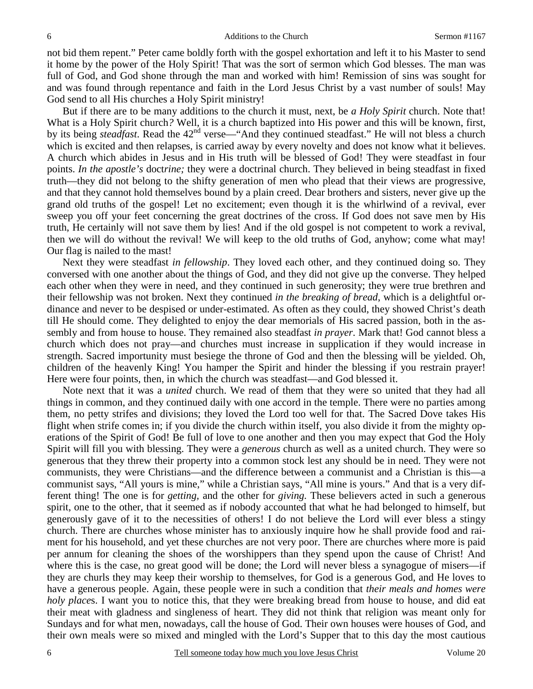not bid them repent." Peter came boldly forth with the gospel exhortation and left it to his Master to send it home by the power of the Holy Spirit! That was the sort of sermon which God blesses. The man was full of God, and God shone through the man and worked with him! Remission of sins was sought for and was found through repentance and faith in the Lord Jesus Christ by a vast number of souls! May God send to all His churches a Holy Spirit ministry!

But if there are to be many additions to the church it must, next, be *a Holy Spirit* church. Note that! What is a Holy Spirit church*?* Well, it is a church baptized into His power and this will be known, first, by its being *steadfast*. Read the 42<sup>nd</sup> verse—"And they continued steadfast." He will not bless a church which is excited and then relapses, is carried away by every novelty and does not know what it believes. A church which abides in Jesus and in His truth will be blessed of God! They were steadfast in four points. *In the apostle's* doct*rine;* they were a doctrinal church. They believed in being steadfast in fixed truth—they did not belong to the shifty generation of men who plead that their views are progressive, and that they cannot hold themselves bound by a plain creed. Dear brothers and sisters, never give up the grand old truths of the gospel! Let no excitement; even though it is the whirlwind of a revival, ever sweep you off your feet concerning the great doctrines of the cross. If God does not save men by His truth, He certainly will not save them by lies! And if the old gospel is not competent to work a revival, then we will do without the revival! We will keep to the old truths of God, anyhow; come what may! Our flag is nailed to the mast!

Next they were steadfast *in fellowship*. They loved each other, and they continued doing so. They conversed with one another about the things of God, and they did not give up the converse. They helped each other when they were in need, and they continued in such generosity; they were true brethren and their fellowship was not broken. Next they continued *in the breaking of bread*, which is a delightful ordinance and never to be despised or under-estimated. As often as they could, they showed Christ's death till He should come. They delighted to enjoy the dear memorials of His sacred passion, both in the assembly and from house to house. They remained also steadfast *in prayer*. Mark that! God cannot bless a church which does not pray—and churches must increase in supplication if they would increase in strength. Sacred importunity must besiege the throne of God and then the blessing will be yielded. Oh, children of the heavenly King! You hamper the Spirit and hinder the blessing if you restrain prayer! Here were four points, then, in which the church was steadfast—and God blessed it.

Note next that it was a *united* church. We read of them that they were so united that they had all things in common, and they continued daily with one accord in the temple. There were no parties among them, no petty strifes and divisions; they loved the Lord too well for that. The Sacred Dove takes His flight when strife comes in; if you divide the church within itself, you also divide it from the mighty operations of the Spirit of God! Be full of love to one another and then you may expect that God the Holy Spirit will fill you with blessing. They were a *generous* church as well as a united church. They were so generous that they threw their property into a common stock lest any should be in need. They were not communists, they were Christians—and the difference between a communist and a Christian is this—a communist says, "All yours is mine," while a Christian says, "All mine is yours." And that is a very different thing! The one is for *getting,* and the other for *giving.* These believers acted in such a generous spirit, one to the other, that it seemed as if nobody accounted that what he had belonged to himself, but generously gave of it to the necessities of others! I do not believe the Lord will ever bless a stingy church. There are churches whose minister has to anxiously inquire how he shall provide food and raiment for his household, and yet these churches are not very poor. There are churches where more is paid per annum for cleaning the shoes of the worshippers than they spend upon the cause of Christ! And where this is the case, no great good will be done; the Lord will never bless a synagogue of misers—if they are churls they may keep their worship to themselves, for God is a generous God, and He loves to have a generous people. Again, these people were in such a condition that *their meals and homes were holy places*. I want you to notice this, that they were breaking bread from house to house, and did eat their meat with gladness and singleness of heart. They did not think that religion was meant only for Sundays and for what men, nowadays, call the house of God. Their own houses were houses of God, and their own meals were so mixed and mingled with the Lord's Supper that to this day the most cautious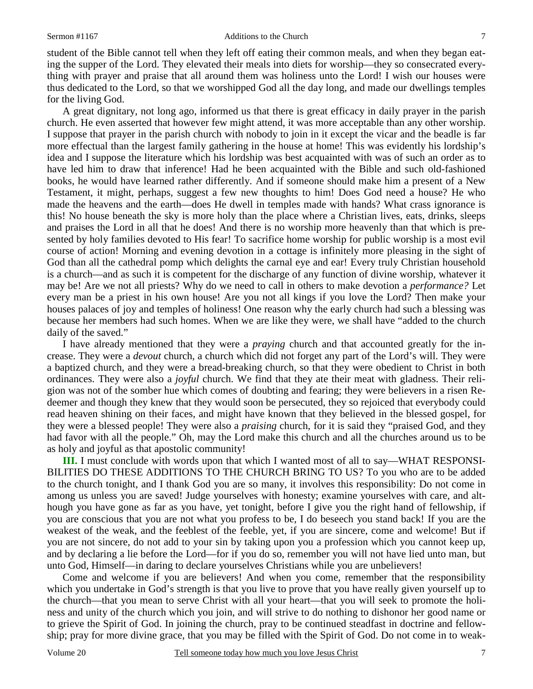student of the Bible cannot tell when they left off eating their common meals, and when they began eating the supper of the Lord. They elevated their meals into diets for worship—they so consecrated everything with prayer and praise that all around them was holiness unto the Lord! I wish our houses were thus dedicated to the Lord, so that we worshipped God all the day long, and made our dwellings temples for the living God.

A great dignitary, not long ago, informed us that there is great efficacy in daily prayer in the parish church. He even asserted that however few might attend, it was more acceptable than any other worship. I suppose that prayer in the parish church with nobody to join in it except the vicar and the beadle is far more effectual than the largest family gathering in the house at home! This was evidently his lordship's idea and I suppose the literature which his lordship was best acquainted with was of such an order as to have led him to draw that inference! Had he been acquainted with the Bible and such old-fashioned books, he would have learned rather differently. And if someone should make him a present of a New Testament, it might, perhaps, suggest a few new thoughts to him! Does God need a house? He who made the heavens and the earth—does He dwell in temples made with hands? What crass ignorance is this! No house beneath the sky is more holy than the place where a Christian lives, eats, drinks, sleeps and praises the Lord in all that he does! And there is no worship more heavenly than that which is presented by holy families devoted to His fear! To sacrifice home worship for public worship is a most evil course of action! Morning and evening devotion in a cottage is infinitely more pleasing in the sight of God than all the cathedral pomp which delights the carnal eye and ear! Every truly Christian household is a church—and as such it is competent for the discharge of any function of divine worship, whatever it may be! Are we not all priests? Why do we need to call in others to make devotion a *performance?* Let every man be a priest in his own house! Are you not all kings if you love the Lord? Then make your houses palaces of joy and temples of holiness! One reason why the early church had such a blessing was because her members had such homes. When we are like they were, we shall have "added to the church daily of the saved."

I have already mentioned that they were a *praying* church and that accounted greatly for the increase. They were a *devout* church, a church which did not forget any part of the Lord's will. They were a baptized church, and they were a bread-breaking church, so that they were obedient to Christ in both ordinances. They were also a *joyful* church. We find that they ate their meat with gladness. Their religion was not of the somber hue which comes of doubting and fearing; they were believers in a risen Redeemer and though they knew that they would soon be persecuted, they so rejoiced that everybody could read heaven shining on their faces, and might have known that they believed in the blessed gospel, for they were a blessed people! They were also a *praising* church, for it is said they "praised God, and they had favor with all the people." Oh, may the Lord make this church and all the churches around us to be as holy and joyful as that apostolic community!

**III.** I must conclude with words upon that which I wanted most of all to say—WHAT RESPONSI-BILITIES DO THESE ADDITIONS TO THE CHURCH BRING TO US? To you who are to be added to the church tonight, and I thank God you are so many, it involves this responsibility: Do not come in among us unless you are saved! Judge yourselves with honesty; examine yourselves with care, and although you have gone as far as you have, yet tonight, before I give you the right hand of fellowship, if you are conscious that you are not what you profess to be, I do beseech you stand back! If you are the weakest of the weak, and the feeblest of the feeble, yet, if you are sincere, come and welcome! But if you are not sincere, do not add to your sin by taking upon you a profession which you cannot keep up, and by declaring a lie before the Lord—for if you do so, remember you will not have lied unto man, but unto God, Himself—in daring to declare yourselves Christians while you are unbelievers!

Come and welcome if you are believers! And when you come, remember that the responsibility which you undertake in God's strength is that you live to prove that you have really given yourself up to the church—that you mean to serve Christ with all your heart—that you will seek to promote the holiness and unity of the church which you join, and will strive to do nothing to dishonor her good name or to grieve the Spirit of God. In joining the church, pray to be continued steadfast in doctrine and fellowship; pray for more divine grace, that you may be filled with the Spirit of God. Do not come in to weak